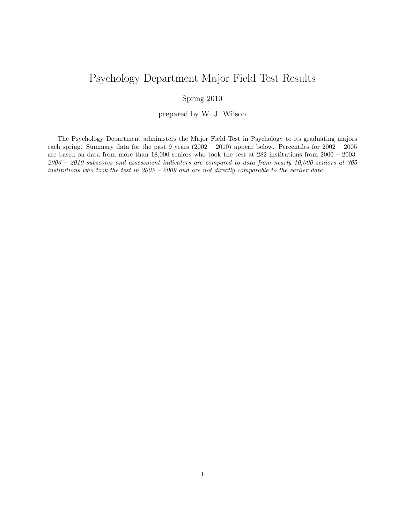## Psychology Department Major Field Test Results

## Spring 2010

prepared by W. J. Wilson

The Psychology Department administers the Major Field Test in Psychology to its graduating majors each spring. Summary data for the past 9 years (2002 – 2010) appear below. Percentiles for 2002 – 2005 are based on data from more than 18,000 seniors who took the test at 282 institutions from 2000 – 2003. 2006 – 2010 subscores and assessment indicators are compared to data from nearly 10,000 seniors at 305 institutions who took the test in 2005 – 2009 and are not directly comparable to the earlier data.